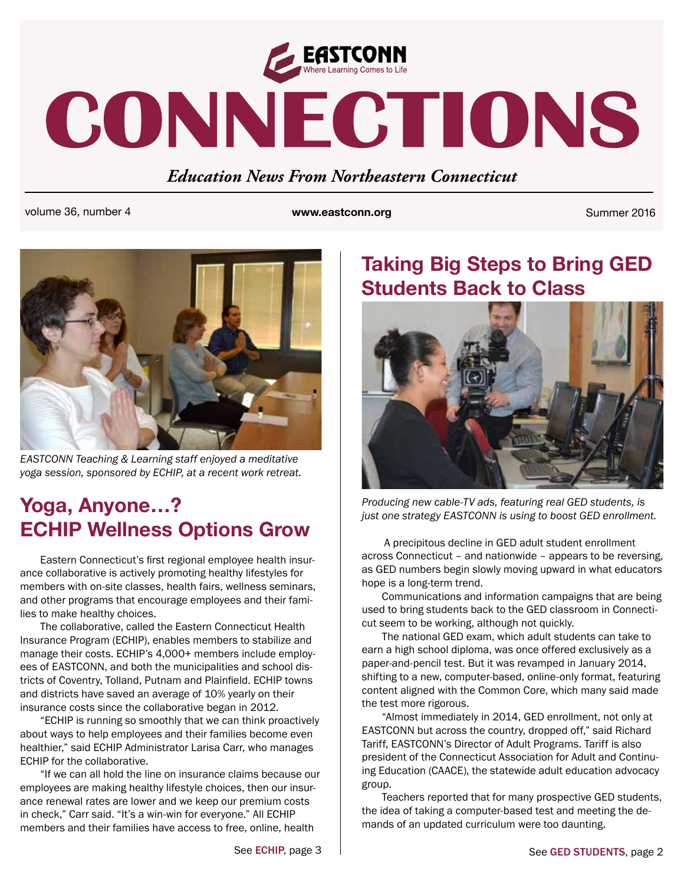

# CONNECTIONS

#### *Education News From Northeastern Connecticut*

volume 36, number 4 **www.eastconn.org** Summer 2016



*EASTCONN Teaching & Learning staff enjoyed a meditative yoga session, sponsored by ECHIP, at a recent work retreat.* 

# **ECHIP Wellness Options Grow**

Eastern Connecticut's frst regional employee health insurance collaborative is actively promoting healthy lifestyles for members with on-site classes, health fairs, wellness seminars, and other programs that encourage employees and their families to make healthy choices.

The collaborative, called the Eastern Connecticut Health Insurance Program (ECHIP), enables members to stabilize and manage their costs. ECHIP's 4,000+ members include employees of EASTCONN, and both the municipalities and school districts of Coventry, Tolland, Putnam and Plainfeld. ECHIP towns and districts have saved an average of 10% yearly on their insurance costs since the collaborative began in 2012.

"ECHIP is running so smoothly that we can think proactively about ways to help employees and their families become even healthier," said ECHIP Administrator Larisa Carr, who manages ECHIP for the collaborative.

"If we can all hold the line on insurance claims because our employees are making healthy lifestyle choices, then our insurance renewal rates are lower and we keep our premium costs in check," Carr said. "It's a win-win for everyone." All ECHIP members and their families have access to free, online, health

# **Taking Big Steps to Bring GED Students Back to Class**



**Producing new cable-TV ads, featuring real GED students, is**<br>*just one strategy EASTCONN is using to boost GED enrollment.* 

 A precipitous decline in GED adult student enrollment across Connecticut – and nationwide – appears to be reversing, as GED numbers begin slowly moving upward in what educators hope is a long-term trend.

Communications and information campaigns that are being used to bring students back to the GED classroom in Connecticut seem to be working, although not quickly.

The national GED exam, which adult students can take to earn a high school diploma, was once offered exclusively as a paper-and-pencil test. But it was revamped in January 2014, shifting to a new, computer-based, online-only format, featuring content aligned with the Common Core, which many said made the test more rigorous.

"Almost immediately in 2014, GED enrollment, not only at EASTCONN but across the country, dropped off," said Richard Tariff, EASTCONN's Director of Adult Programs. Tariff is also president of the Connecticut Association for Adult and Continuing Education (CAACE), the statewide adult education advocacy group.

Teachers reported that for many prospective GED students, the idea of taking a computer-based test and meeting the demands of an updated curriculum were too daunting.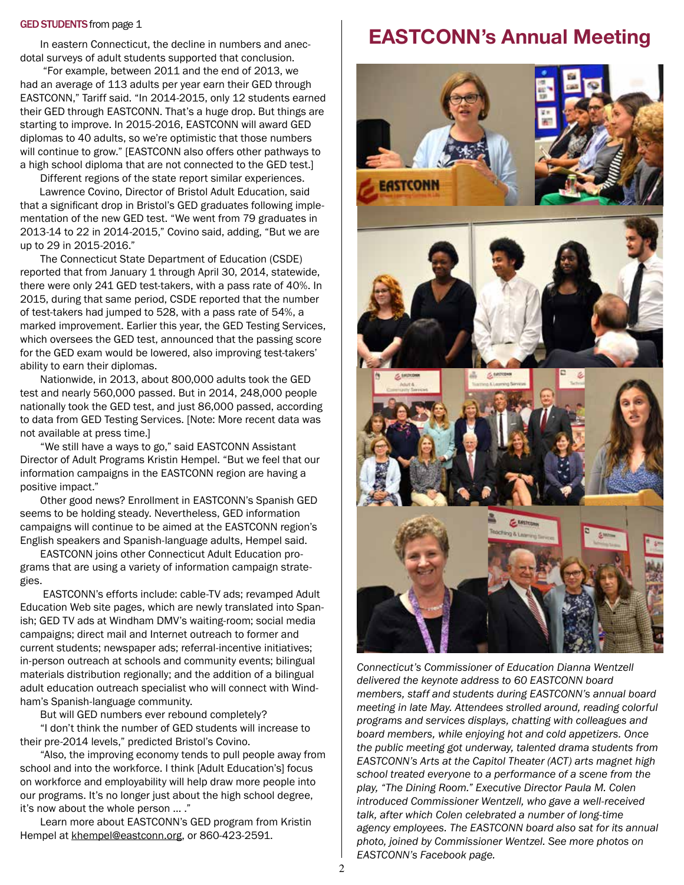#### GED STUDENTS from page 1

In eastern Connecticut, the decline in numbers and anecdotal surveys of adult students supported that conclusion.

 "For example, between 2011 and the end of 2013, we had an average of 113 adults per year earn their GED through EASTCONN," Tariff said. "In 2014-2015, only 12 students earned their GED through EASTCONN. That's a huge drop. But things are starting to improve. In 2015-2016, EASTCONN will award GED diplomas to 40 adults, so we're optimistic that those numbers will continue to grow." [EASTCONN also offers other pathways to a high school diploma that are not connected to the GED test.]

Different regions of the state report similar experiences. Lawrence Covino, Director of Bristol Adult Education, said that a signifcant drop in Bristol's GED graduates following implementation of the new GED test. "We went from 79 graduates in 2013-14 to 22 in 2014-2015," Covino said, adding, "But we are up to 29 in 2015-2016."

The Connecticut State Department of Education (CSDE) reported that from January 1 through April 30, 2014, statewide, there were only 241 GED test-takers, with a pass rate of 40%. In 2015, during that same period, CSDE reported that the number of test-takers had jumped to 528, with a pass rate of 54%, a marked improvement. Earlier this year, the GED Testing Services, which oversees the GED test, announced that the passing score for the GED exam would be lowered, also improving test-takers' ability to earn their diplomas.

Nationwide, in 2013, about 800,000 adults took the GED test and nearly 560,000 passed. But in 2014, 248,000 people nationally took the GED test, and just 86,000 passed, according to data from GED Testing Services. [Note: More recent data was not available at press time.]

"We still have a ways to go," said EASTCONN Assistant Director of Adult Programs Kristin Hempel. "But we feel that our information campaigns in the EASTCONN region are having a positive impact."

Other good news? Enrollment in EASTCONN's Spanish GED seems to be holding steady. Nevertheless, GED information campaigns will continue to be aimed at the EASTCONN region's English speakers and Spanish-language adults, Hempel said.

EASTCONN joins other Connecticut Adult Education programs that are using a variety of information campaign strategies.

 EASTCONN's efforts include: cable-TV ads; revamped Adult Education Web site pages, which are newly translated into Spanish; GED TV ads at Windham DMV's waiting-room; social media campaigns; direct mail and Internet outreach to former and current students; newspaper ads; referral-incentive initiatives; in-person outreach at schools and community events; bilingual materials distribution regionally; and the addition of a bilingual adult education outreach specialist who will connect with Windham's Spanish-language community.

But will GED numbers ever rebound completely?

"I don't think the number of GED students will increase to their pre-2014 levels," predicted Bristol's Covino.

"Also, the improving economy tends to pull people away from school and into the workforce. I think [Adult Education's] focus on workforce and employability will help draw more people into our programs. It's no longer just about the high school degree, it's now about the whole person … ."

Learn more about EASTCONN's GED program from Kristin Hempel at [khempel@eastconn.org,](mailto:khempel@eastconn.org) or 860-423-2591.

### **EASTCONN's Annual Meeting**



*Connecticut's Commissioner of Education Dianna Wentzell delivered the keynote address to 60 EASTCONN board members, staff and students during EASTCONN's annual board meeting in late May. Attendees strolled around, reading colorful programs and services displays, chatting with colleagues and board members, while enjoying hot and cold appetizers. Once the public meeting got underway, talented drama students from EASTCONN's Arts at the Capitol Theater (ACT) arts magnet high school treated everyone to a performance of a scene from the play, "The Dining Room." Executive Director Paula M. Colen introduced Commissioner Wentzell, who gave a well-received talk, after which Colen celebrated a number of long-time agency employees. The EASTCONN board also sat for its annual photo, joined by Commissioner Wentzel. See more photos on EASTCONN's Facebook page.*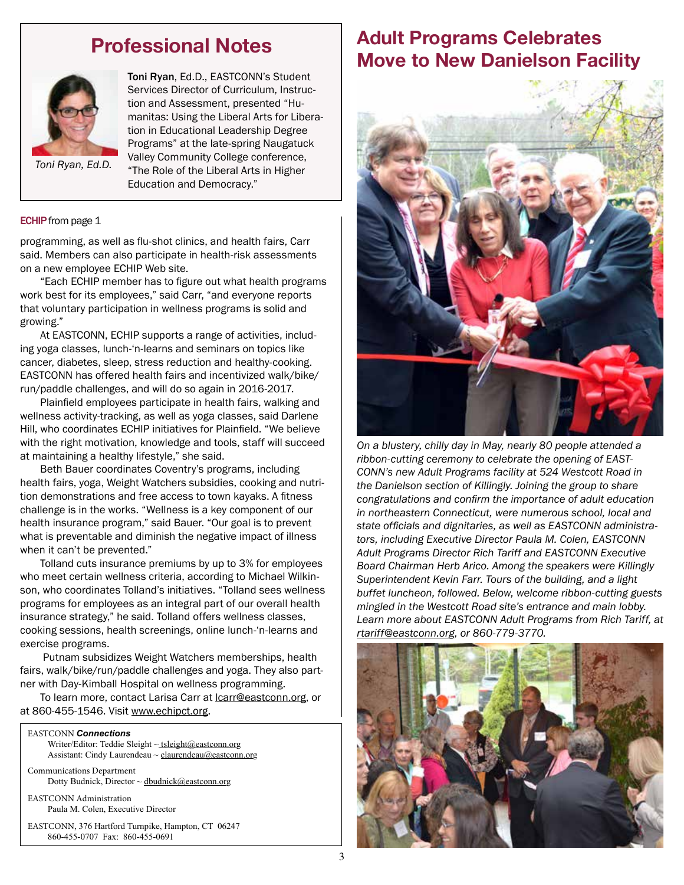#### **Professional Notes**



Toni Ryan, Ed.D., EASTCONN's Student Services Director of Curriculum, Instruction and Assessment, presented "Humanitas: Using the Liberal Arts for Liberation in Educational Leadership Degree Programs" at the late-spring Naugatuck Valley Community College conference, "The Role of the Liberal Arts in Higher Education and Democracy."

*Toni Ryan, Ed.D.*

#### **ECHIP** from page 1

programming, as well as fu-shot clinics, and health fairs, Carr said. Members can also participate in health-risk assessments on a new employee ECHIP Web site.

"Each ECHIP member has to fgure out what health programs work best for its employees," said Carr, "and everyone reports that voluntary participation in wellness programs is solid and growing."

At EASTCONN, ECHIP supports a range of activities, including yoga classes, lunch-'n-learns and seminars on topics like cancer, diabetes, sleep, stress reduction and healthy-cooking. EASTCONN has offered health fairs and incentivized walk/bike/ run/paddle challenges, and will do so again in 2016-2017.

Plainfeld employees participate in health fairs, walking and wellness activity-tracking, as well as yoga classes, said Darlene Hill, who coordinates ECHIP initiatives for Plainfeld. "We believe with the right motivation, knowledge and tools, staff will succeed at maintaining a healthy lifestyle," she said.

Beth Bauer coordinates Coventry's programs, including health fairs, yoga, Weight Watchers subsidies, cooking and nutrition demonstrations and free access to town kayaks. A fitness challenge is in the works. "Wellness is a key component of our health insurance program," said Bauer. "Our goal is to prevent what is preventable and diminish the negative impact of illness when it can't be prevented."

Tolland cuts insurance premiums by up to 3% for employees who meet certain wellness criteria, according to Michael Wilkinson, who coordinates Tolland's initiatives. "Tolland sees wellness programs for employees as an integral part of our overall health insurance strategy," he said. Tolland offers wellness classes, cooking sessions, health screenings, online lunch-'n-learns and exercise programs.

 Putnam subsidizes Weight Watchers memberships, health fairs, walk/bike/run/paddle challenges and yoga. They also partner with Day-Kimball Hospital on wellness programming.

To learn more, contact Larisa Carr at **lcarr@eastconn.org**, or at 860-455-1546. Visit [www.echipct.org](http://www.echipct.org).

#### EASTCONN *Connections*

Writer/Editor: Teddie Sleight ~ tsleight@eastconn.org Assistant: Cindy Laurendeau ~ [claurendeau@eastconn.org](mailto:claurendeau@eastconn.org)

[Communications Department](%20mailto:connections@eastconn.org) [Dotty Budnick](mailto:dbudnick@eastconn.org), Director ~ dbudnick@eastconn.org

EASTCONN Administration Paula M. Colen, Executive Director

EASTCONN, 376 Hartford Turnpike, Hampton, CT 06247 860-455-0707 Fax: 860-455-0691

#### **Adult Programs Celebrates Move to New Danielson Facility**



*On a blustery, chilly day in May, nearly 80 people attended a ribbon-cutting ceremony to celebrate the opening of EAST-CONN's new Adult Programs facility at 524 Westcott Road in the Danielson section of Killingly. Joining the group to share congratulations and confrm the importance of adult education in northeastern Connecticut, were numerous school, local and state offcials and dignitaries, as well as EASTCONN administrators, including Executive Director Paula M. Colen, EASTCONN Adult Programs Director Rich Tariff and EASTCONN Executive Board Chairman Herb Arico. Among the speakers were Killingly Superintendent Kevin Farr. Tours of the building, and a light buffet luncheon, followed. Below, welcome ribbon-cutting guests mingled in the Westcott Road site's entrance and main lobby. Learn more about EASTCONN Adult Programs from Rich Tariff, at rtariff@eastconn.org, or 860-779-3770.*